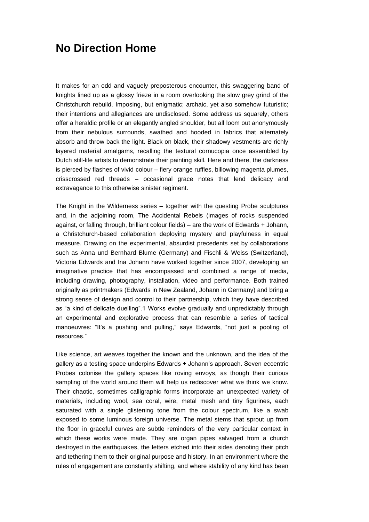## **No Direction Home**

It makes for an odd and vaguely preposterous encounter, this swaggering band of knights lined up as a glossy frieze in a room overlooking the slow grey grind of the Christchurch rebuild. Imposing, but enigmatic; archaic, yet also somehow futuristic; their intentions and allegiances are undisclosed. Some address us squarely, others offer a heraldic profile or an elegantly angled shoulder, but all loom out anonymously from their nebulous surrounds, swathed and hooded in fabrics that alternately absorb and throw back the light. Black on black, their shadowy vestments are richly layered material amalgams, recalling the textural cornucopia once assembled by Dutch still-life artists to demonstrate their painting skill. Here and there, the darkness is pierced by flashes of vivid colour – fiery orange ruffles, billowing magenta plumes, crisscrossed red threads – occasional grace notes that lend delicacy and extravagance to this otherwise sinister regiment.

The Knight in the Wilderness series – together with the questing Probe sculptures and, in the adjoining room, The Accidental Rebels (images of rocks suspended against, or falling through, brilliant colour fields) – are the work of Edwards + Johann, a Christchurch-based collaboration deploying mystery and playfulness in equal measure. Drawing on the experimental, absurdist precedents set by collaborations such as Anna und Bernhard Blume (Germany) and Fischli & Weiss (Switzerland), Victoria Edwards and Ina Johann have worked together since 2007, developing an imaginative practice that has encompassed and combined a range of media, including drawing, photography, installation, video and performance. Both trained originally as printmakers (Edwards in New Zealand, Johann in Germany) and bring a strong sense of design and control to their partnership, which they have described as "a kind of delicate duelling".1 Works evolve gradually and unpredictably through an experimental and explorative process that can resemble a series of tactical manoeuvres: "It's a pushing and pulling," says Edwards, "not just a pooling of resources."

Like science, art weaves together the known and the unknown, and the idea of the gallery as a testing space underpins Edwards + Johann's approach. Seven eccentric Probes colonise the gallery spaces like roving envoys, as though their curious sampling of the world around them will help us rediscover what we think we know. Their chaotic, sometimes calligraphic forms incorporate an unexpected variety of materials, including wool, sea coral, wire, metal mesh and tiny figurines, each saturated with a single glistening tone from the colour spectrum, like a swab exposed to some luminous foreign universe. The metal stems that sprout up from the floor in graceful curves are subtle reminders of the very particular context in which these works were made. They are organ pipes salvaged from a church destroyed in the earthquakes, the letters etched into their sides denoting their pitch and tethering them to their original purpose and history. In an environment where the rules of engagement are constantly shifting, and where stability of any kind has been